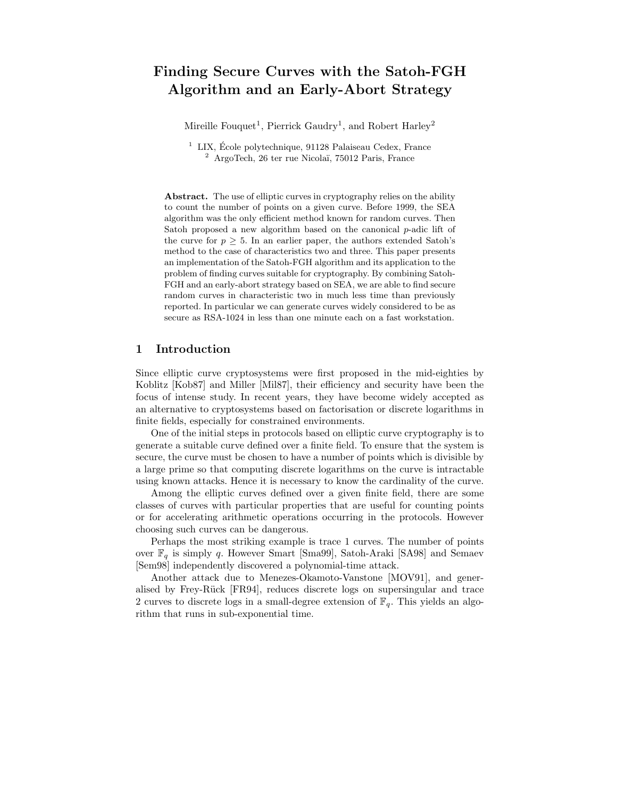# Finding Secure Curves with the Satoh-FGH Algorithm and an Early-Abort Strategy

Mireille Fouquet<sup>1</sup>, Pierrick Gaudry<sup>1</sup>, and Robert Harley<sup>2</sup>

 $1$  LIX, École polytechnique, 91128 Palaiseau Cedex, France  $2^2$  ArgoTech, 26 ter rue Nicolaï, 75012 Paris, France

Abstract. The use of elliptic curves in cryptography relies on the ability to count the number of points on a given curve. Before 1999, the SEA algorithm was the only efficient method known for random curves. Then Satoh proposed a new algorithm based on the canonical  $p$ -adic lift of the curve for  $p \geq 5$ . In an earlier paper, the authors extended Satoh's method to the case of characteristics two and three. This paper presents an implementation of the Satoh-FGH algorithm and its application to the problem of finding curves suitable for cryptography. By combining Satoh-FGH and an early-abort strategy based on SEA, we are able to find secure random curves in characteristic two in much less time than previously reported. In particular we can generate curves widely considered to be as secure as RSA-1024 in less than one minute each on a fast workstation.

### 1 Introduction

Since elliptic curve cryptosystems were first proposed in the mid-eighties by Koblitz [Kob87] and Miller [Mil87], their efficiency and security have been the focus of intense study. In recent years, they have become widely accepted as an alternative to cryptosystems based on factorisation or discrete logarithms in finite fields, especially for constrained environments.

One of the initial steps in protocols based on elliptic curve cryptography is to generate a suitable curve defined over a finite field. To ensure that the system is secure, the curve must be chosen to have a number of points which is divisible by a large prime so that computing discrete logarithms on the curve is intractable using known attacks. Hence it is necessary to know the cardinality of the curve.

Among the elliptic curves defined over a given finite field, there are some classes of curves with particular properties that are useful for counting points or for accelerating arithmetic operations occurring in the protocols. However choosing such curves can be dangerous.

Perhaps the most striking example is trace 1 curves. The number of points over  $\mathbb{F}_q$  is simply q. However Smart [Sma99], Satoh-Araki [SA98] and Semaev [Sem98] independently discovered a polynomial-time attack.

Another attack due to Menezes-Okamoto-Vanstone [MOV91], and generalised by Frey-Rück [FR94], reduces discrete logs on supersingular and trace 2 curves to discrete logs in a small-degree extension of  $\mathbb{F}_q$ . This yields an algorithm that runs in sub-exponential time.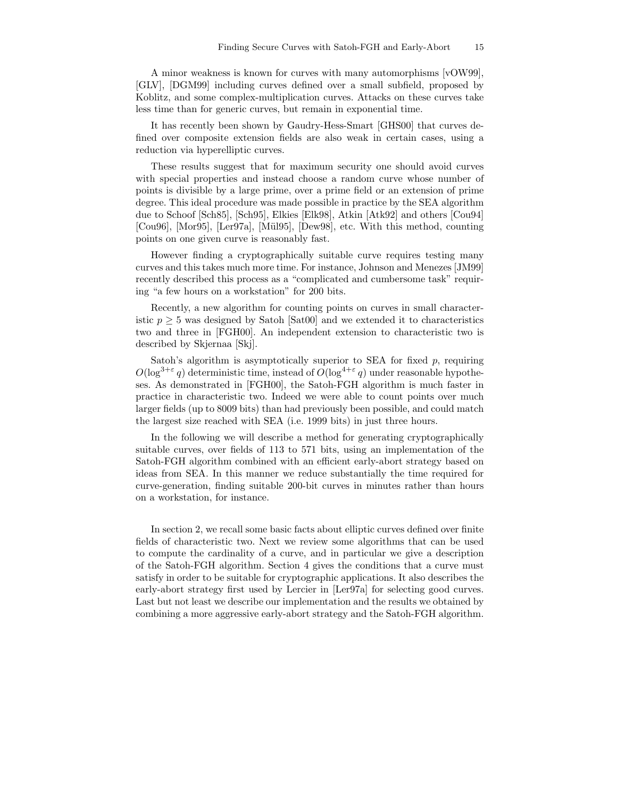A minor weakness is known for curves with many automorphisms [vOW99], [GLV], [DGM99] including curves defined over a small subfield, proposed by Koblitz, and some complex-multiplication curves. Attacks on these curves take less time than for generic curves, but remain in exponential time.

It has recently been shown by Gaudry-Hess-Smart [GHS00] that curves defined over composite extension fields are also weak in certain cases, using a reduction via hyperelliptic curves.

These results suggest that for maximum security one should avoid curves with special properties and instead choose a random curve whose number of points is divisible by a large prime, over a prime field or an extension of prime degree. This ideal procedure was made possible in practice by the SEA algorithm due to Schoof [Sch85], [Sch95], Elkies [Elk98], Atkin [Atk92] and others [Cou94] [Cou96], [Mor95], [Ler97a], [Mül95], [Dew98], etc. With this method, counting points on one given curve is reasonably fast.

However finding a cryptographically suitable curve requires testing many curves and this takes much more time. For instance, Johnson and Menezes [JM99] recently described this process as a "complicated and cumbersome task" requiring "a few hours on a workstation" for 200 bits.

Recently, a new algorithm for counting points on curves in small characteristic  $p \geq 5$  was designed by Satoh [Sat00] and we extended it to characteristics two and three in [FGH00]. An independent extension to characteristic two is described by Skjernaa [Skj].

Satoh's algorithm is asymptotically superior to SEA for fixed  $p$ , requiring  $O(\log^{3+\varepsilon} q)$  deterministic time, instead of  $O(\log^{4+\varepsilon} q)$  under reasonable hypotheses. As demonstrated in [FGH00], the Satoh-FGH algorithm is much faster in practice in characteristic two. Indeed we were able to count points over much larger fields (up to 8009 bits) than had previously been possible, and could match the largest size reached with SEA (i.e. 1999 bits) in just three hours.

In the following we will describe a method for generating cryptographically suitable curves, over fields of 113 to 571 bits, using an implementation of the Satoh-FGH algorithm combined with an efficient early-abort strategy based on ideas from SEA. In this manner we reduce substantially the time required for curve-generation, finding suitable 200-bit curves in minutes rather than hours on a workstation, for instance.

In section 2, we recall some basic facts about elliptic curves defined over finite fields of characteristic two. Next we review some algorithms that can be used to compute the cardinality of a curve, and in particular we give a description of the Satoh-FGH algorithm. Section 4 gives the conditions that a curve must satisfy in order to be suitable for cryptographic applications. It also describes the early-abort strategy first used by Lercier in [Ler97a] for selecting good curves. Last but not least we describe our implementation and the results we obtained by combining a more aggressive early-abort strategy and the Satoh-FGH algorithm.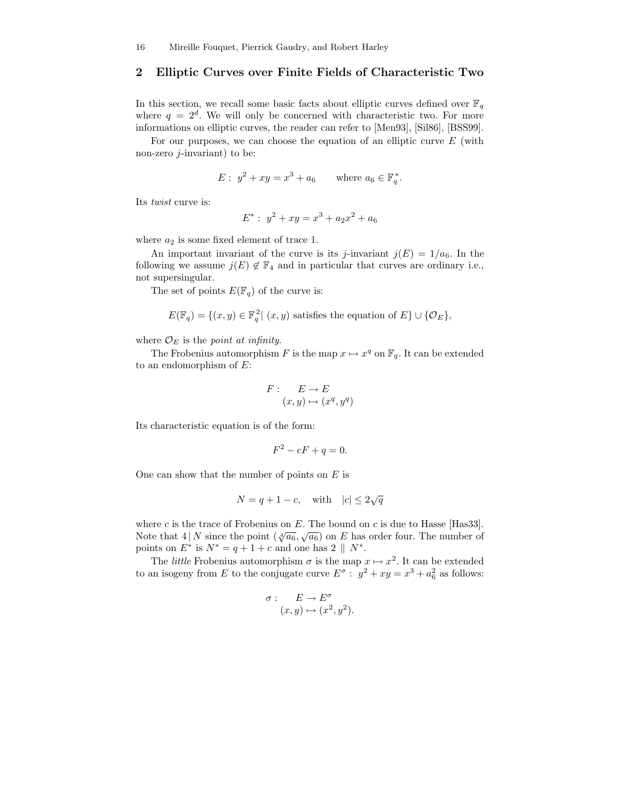### 2 Elliptic Curves over Finite Fields of Characteristic Two

In this section, we recall some basic facts about elliptic curves defined over  $\mathbb{F}_q$ where  $q = 2^d$ . We will only be concerned with characteristic two. For more informations on elliptic curves, the reader can refer to [Men93], [Sil86], [BSS99].

For our purposes, we can choose the equation of an elliptic curve  $E$  (with non-zero  $j$ -invariant) to be:

$$
E: y^2 + xy = x^3 + a_6
$$
 where  $a_6 \in \mathbb{F}_q^*$ .

Its twist curve is:

$$
E^* : y^2 + xy = x^3 + a_2x^2 + a_6
$$

where  $a_2$  is some fixed element of trace 1.

An important invariant of the curve is its j-invariant  $j(E) = 1/a_6$ . In the following we assume  $j(E) \notin \mathbb{F}_4$  and in particular that curves are ordinary i.e., not supersingular.

The set of points  $E(\mathbb{F}_q)$  of the curve is:

$$
E(\mathbb{F}_q) = \{(x, y) \in \mathbb{F}_q^2 | (x, y) \text{ satisfies the equation of } E\} \cup \{O_E\},\
$$

where  $\mathcal{O}_E$  is the *point at infinity*.

The Frobenius automorphism F is the map  $x \mapsto x^q$  on  $\mathbb{F}_q$ . It can be extended to an endomorphism of  $E$ :

$$
F: E \to E
$$

$$
(x, y) \mapsto (x^q, y^q)
$$

Its characteristic equation is of the form:

$$
F^2 - cF + q = 0.
$$

One can show that the number of points on  $E$  is

$$
N=q+1-c, \quad \text{with} \quad |c|\leq 2\sqrt{q}
$$

where c is the trace of Frobenius on  $E$ . The bound on c is due to Hasse [Has33]. Note that  $4 | N$  since the point  $(\sqrt[4]{a_6}, \sqrt{a_6})$  on E has order four. The number of points on  $E^*$  is  $N^* = q + 1 + c$  and one has  $2 \parallel N^*$ .

The *little* Frobenius automorphism  $\sigma$  is the map  $x \mapsto x^2$ . It can be extended to an isogeny from E to the conjugate curve  $E^{\sigma}: y^2 + xy = x^3 + a_6^2$  as follows:

$$
\begin{aligned}\n\sigma: \quad E \to E^{\sigma} \\
(x, y) &\mapsto (x^2, y^2).\n\end{aligned}
$$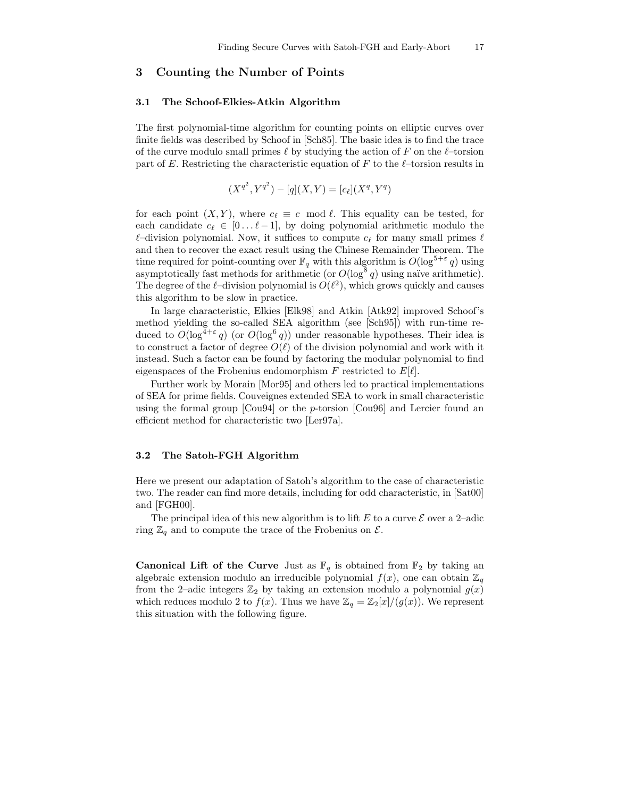### 3 Counting the Number of Points

#### 3.1 The Schoof-Elkies-Atkin Algorithm

The first polynomial-time algorithm for counting points on elliptic curves over finite fields was described by Schoof in [Sch85]. The basic idea is to find the trace of the curve modulo small primes  $\ell$  by studying the action of F on the  $\ell$ –torsion part of E. Restricting the characteristic equation of F to the  $\ell$ –torsion results in

$$
(X^{q^2}, Y^{q^2}) - [q](X, Y) = [c_{\ell}](X^q, Y^q)
$$

for each point  $(X, Y)$ , where  $c_\ell \equiv c \mod \ell$ . This equality can be tested, for each candidate  $c_\ell \in [0 \dots \ell-1]$ , by doing polynomial arithmetic modulo the  $\ell$ –division polynomial. Now, it suffices to compute  $c_{\ell}$  for many small primes  $\ell$ and then to recover the exact result using the Chinese Remainder Theorem. The time required for point-counting over  $\mathbb{F}_q$  with this algorithm is  $O(\log^{5+\varepsilon} q)$  using asymptotically fast methods for arithmetic (or  $O(\log^8 q)$  using naïve arithmetic). The degree of the  $\ell$ -division polynomial is  $O(\ell^2)$ , which grows quickly and causes this algorithm to be slow in practice.

In large characteristic, Elkies [Elk98] and Atkin [Atk92] improved Schoof's method yielding the so-called SEA algorithm (see [Sch95]) with run-time reduced to  $O(\log^{4+\varepsilon} q)$  (or  $O(\log^6 q)$ ) under reasonable hypotheses. Their idea is to construct a factor of degree  $O(\ell)$  of the division polynomial and work with it instead. Such a factor can be found by factoring the modular polynomial to find eigenspaces of the Frobenius endomorphism F restricted to  $E[\ell]$ .

Further work by Morain [Mor95] and others led to practical implementations of SEA for prime fields. Couveignes extended SEA to work in small characteristic using the formal group [Cou94] or the p-torsion [Cou96] and Lercier found an efficient method for characteristic two [Ler97a].

#### 3.2 The Satoh-FGH Algorithm

Here we present our adaptation of Satoh's algorithm to the case of characteristic two. The reader can find more details, including for odd characteristic, in [Sat00] and [FGH00].

The principal idea of this new algorithm is to lift E to a curve  $\mathcal E$  over a 2-adic ring  $\mathbb{Z}_q$  and to compute the trace of the Frobenius on  $\mathcal{E}$ .

**Canonical Lift of the Curve** Just as  $\mathbb{F}_q$  is obtained from  $\mathbb{F}_2$  by taking an algebraic extension modulo an irreducible polynomial  $f(x)$ , one can obtain  $\mathbb{Z}_q$ from the 2-adic integers  $\mathbb{Z}_2$  by taking an extension modulo a polynomial  $g(x)$ which reduces modulo 2 to  $f(x)$ . Thus we have  $\mathbb{Z}_q = \mathbb{Z}_2[x]/(g(x))$ . We represent this situation with the following figure.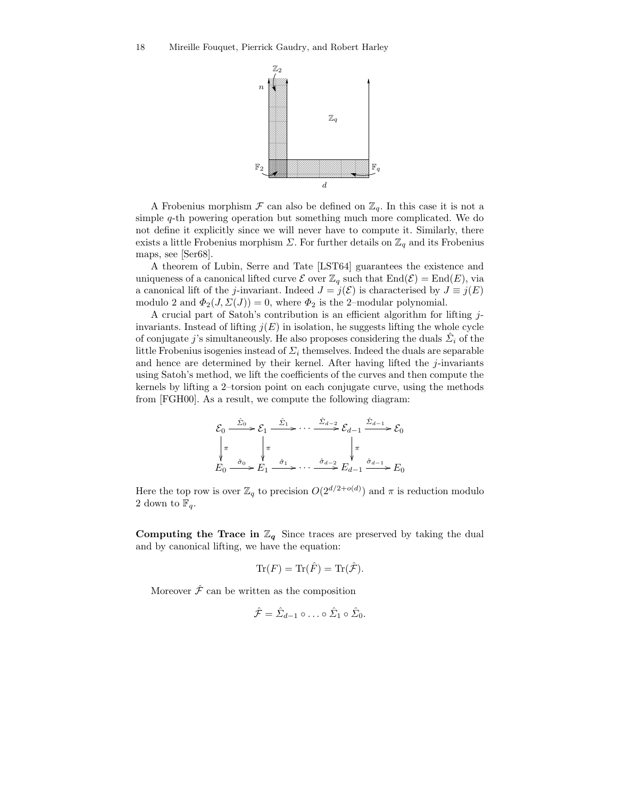

A Frobenius morphism  $\mathcal F$  can also be defined on  $\mathbb{Z}_q$ . In this case it is not a simple q-th powering operation but something much more complicated. We do not define it explicitly since we will never have to compute it. Similarly, there exists a little Frobenius morphism  $\Sigma$ . For further details on  $\mathbb{Z}_q$  and its Frobenius maps, see [Ser68].

A theorem of Lubin, Serre and Tate [LST64] guarantees the existence and uniqueness of a canonical lifted curve  $\mathcal E$  over  $\mathbb Z_q$  such that  $\text{End}(\mathcal E) = \text{End}(E)$ , via a canonical lift of the j-invariant. Indeed  $J = j(\mathcal{E})$  is characterised by  $J \equiv j(E)$ modulo 2 and  $\Phi_2(J, \Sigma(J)) = 0$ , where  $\Phi_2$  is the 2-modular polynomial.

A crucial part of Satoh's contribution is an efficient algorithm for lifting jinvariants. Instead of lifting  $j(E)$  in isolation, he suggests lifting the whole cycle of conjugate j's simultaneously. He also proposes considering the duals  $\hat{\Sigma}_i$  of the little Frobenius isogenies instead of  $\Sigma_i$  themselves. Indeed the duals are separable and hence are determined by their kernel. After having lifted the  $j$ -invariants using Satoh's method, we lift the coefficients of the curves and then compute the kernels by lifting a 2–torsion point on each conjugate curve, using the methods from [FGH00]. As a result, we compute the following diagram:

$$
\mathcal{E}_0 \xrightarrow{\hat{\Sigma}_0} \mathcal{E}_1 \xrightarrow{\hat{\Sigma}_1} \cdots \xrightarrow{\hat{\Sigma}_{d-2}} \mathcal{E}_{d-1} \xrightarrow{\hat{\Sigma}_{d-1}} \mathcal{E}_0
$$
\n
$$
\begin{array}{ccc}\n\pi & \pi \\
\pi & \downarrow \pi \\
E_0 \xrightarrow{\hat{\sigma}_0} E_1 \xrightarrow{\hat{\sigma}_1} \cdots \xrightarrow{\hat{\sigma}_{d-2}} E_{d-1} \xrightarrow{\hat{\sigma}_{d-1}} E_0\n\end{array}
$$

Here the top row is over  $\mathbb{Z}_q$  to precision  $O(2^{d/2+o(d)})$  and  $\pi$  is reduction modulo 2 down to  $\mathbb{F}_q$ .

Computing the Trace in  $\mathbb{Z}_q$  Since traces are preserved by taking the dual and by canonical lifting, we have the equation:

$$
\text{Tr}(F) = \text{Tr}(\hat{F}) = \text{Tr}(\hat{\mathcal{F}}).
$$

Moreover  $\hat{\mathcal{F}}$  can be written as the composition

$$
\hat{\mathcal{F}} = \hat{\Sigma}_{d-1} \circ \ldots \circ \hat{\Sigma}_1 \circ \hat{\Sigma}_0.
$$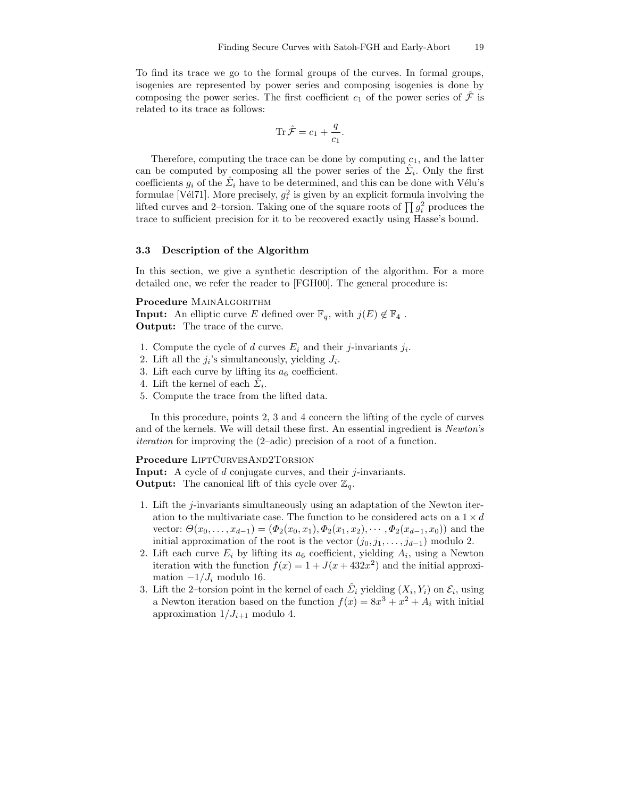To find its trace we go to the formal groups of the curves. In formal groups, isogenies are represented by power series and composing isogenies is done by composing the power series. The first coefficient  $c_1$  of the power series of  $\hat{\mathcal{F}}$  is related to its trace as follows:

$$
\text{Tr}\,\hat{\mathcal{F}} = c_1 + \frac{q}{c_1}.
$$

Therefore, computing the trace can be done by computing  $c_1$ , and the latter can be computed by composing all the power series of the  $\hat{\Sigma}_i$ . Only the first coefficients  $g_i$  of the  $\hat{\Sigma}_i$  have to be determined, and this can be done with Vélu's formulae [Vél71]. More precisely,  $g_i^2$  is given by an explicit formula involving the lifted curves and 2-torsion. Taking one of the square roots of  $\prod g_i^2$  produces the trace to sufficient precision for it to be recovered exactly using Hasse's bound.

### 3.3 Description of the Algorithm

In this section, we give a synthetic description of the algorithm. For a more detailed one, we refer the reader to [FGH00]. The general procedure is:

Procedure MAINALGORITHM

**Input:** An elliptic curve E defined over  $\mathbb{F}_q$ , with  $j(E) \notin \mathbb{F}_4$ . Output: The trace of the curve.

- 1. Compute the cycle of d curves  $E_i$  and their j-invariants  $j_i$ .
- 2. Lift all the  $j_i$ 's simultaneously, yielding  $J_i$ .
- 3. Lift each curve by lifting its  $a_6$  coefficient.
- 4. Lift the kernel of each  $\tilde{\mathcal{L}}_i$ .
- 5. Compute the trace from the lifted data.

In this procedure, points 2, 3 and 4 concern the lifting of the cycle of curves and of the kernels. We will detail these first. An essential ingredient is Newton's iteration for improving the (2–adic) precision of a root of a function.

### Procedure LIFTCURVESAND2TORSION

**Input:** A cycle of d conjugate curves, and their j-invariants. **Output:** The canonical lift of this cycle over  $\mathbb{Z}_q$ .

- 1. Lift the j-invariants simultaneously using an adaptation of the Newton iteration to the multivariate case. The function to be considered acts on a  $1 \times d$ vector:  $\Theta(x_0, \ldots, x_{d-1}) = (\Phi_2(x_0, x_1), \Phi_2(x_1, x_2), \cdots, \Phi_2(x_{d-1}, x_0))$  and the initial approximation of the root is the vector  $(j_0, j_1, \ldots, j_{d-1})$  modulo 2.
- 2. Lift each curve  $E_i$  by lifting its  $a_6$  coefficient, yielding  $A_i$ , using a Newton iteration with the function  $f(x) = 1 + J(x + 432x^2)$  and the initial approximation  $-1/J_i$  modulo 16.
- 3. Lift the 2–torsion point in the kernel of each  $\hat{\Sigma}_i$  yielding  $(X_i, Y_i)$  on  $\mathcal{E}_i$ , using a Newton iteration based on the function  $f(x) = 8x^3 + x^2 + A_i$  with initial approximation  $1/J_{i+1}$  modulo 4.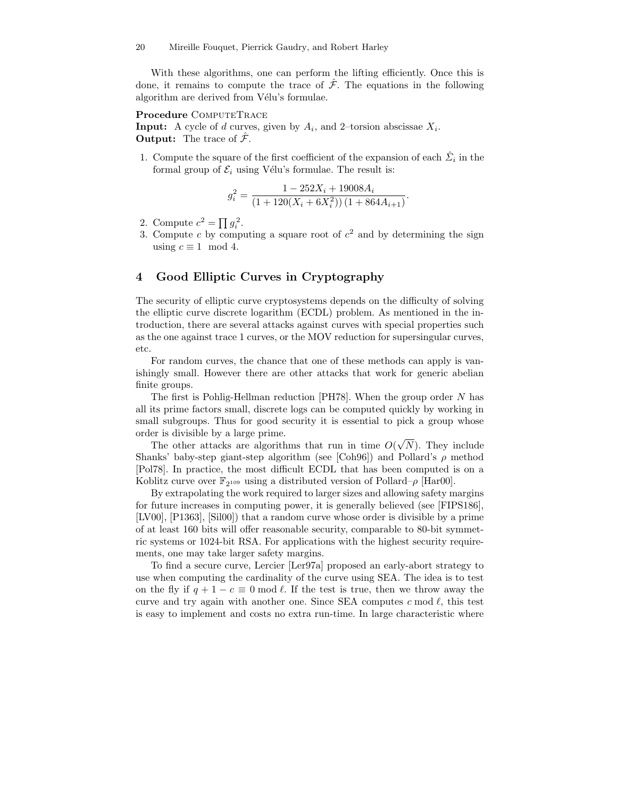With these algorithms, one can perform the lifting efficiently. Once this is done, it remains to compute the trace of  $\hat{\mathcal{F}}$ . The equations in the following algorithm are derived from Vélu's formulae.

#### Procedure COMPUTETRACE

**Input:** A cycle of d curves, given by  $A_i$ , and 2-torsion abscissae  $X_i$ . **Output:** The trace of  $\hat{\mathcal{F}}$ .

1. Compute the square of the first coefficient of the expansion of each  $\hat{\Sigma}_i$  in the formal group of  $\mathcal{E}_i$  using Vélu's formulae. The result is:

$$
g_i^2 = \frac{1 - 252X_i + 19008A_i}{(1 + 120(X_i + 6X_i^2))(1 + 864A_{i+1})}
$$

.

- 2. Compute  $c^2 = \prod g_i^2$ .
- 3. Compute c by computing a square root of  $c<sup>2</sup>$  and by determining the sign using  $c \equiv 1 \mod 4$ .

## 4 Good Elliptic Curves in Cryptography

The security of elliptic curve cryptosystems depends on the difficulty of solving the elliptic curve discrete logarithm (ECDL) problem. As mentioned in the introduction, there are several attacks against curves with special properties such as the one against trace 1 curves, or the MOV reduction for supersingular curves, etc.

For random curves, the chance that one of these methods can apply is vanishingly small. However there are other attacks that work for generic abelian finite groups.

The first is Pohlig-Hellman reduction [PH78]. When the group order N has all its prime factors small, discrete logs can be computed quickly by working in small subgroups. Thus for good security it is essential to pick a group whose order is divisible by a large prime.

The other attacks are algorithms that run in time  $O(\sqrt{N})$ . They include Shanks' baby-step giant-step algorithm (see [Coh96]) and Pollard's  $\rho$  method [Pol78]. In practice, the most difficult ECDL that has been computed is on a Koblitz curve over  $\mathbb{F}_{2^{109}}$  using a distributed version of Pollard– $\rho$  [Har00].

By extrapolating the work required to larger sizes and allowing safety margins for future increases in computing power, it is generally believed (see [FIPS186], [LV00], [P1363], [Sil00]) that a random curve whose order is divisible by a prime of at least 160 bits will offer reasonable security, comparable to 80-bit symmetric systems or 1024-bit RSA. For applications with the highest security requirements, one may take larger safety margins.

To find a secure curve, Lercier [Ler97a] proposed an early-abort strategy to use when computing the cardinality of the curve using SEA. The idea is to test on the fly if  $q + 1 - c \equiv 0 \mod l$ . If the test is true, then we throw away the curve and try again with another one. Since SEA computes c mod  $\ell$ , this test is easy to implement and costs no extra run-time. In large characteristic where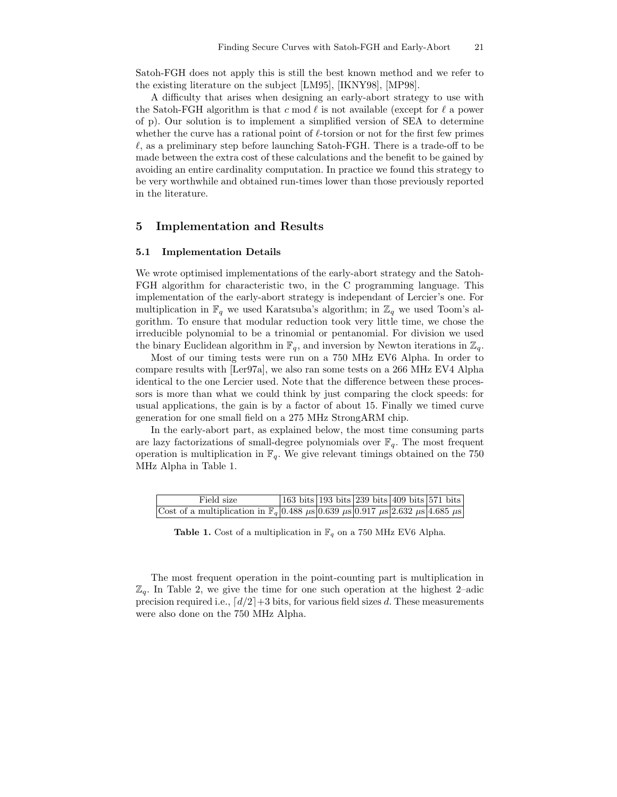Satoh-FGH does not apply this is still the best known method and we refer to the existing literature on the subject [LM95], [IKNY98], [MP98].

A difficulty that arises when designing an early-abort strategy to use with the Satoh-FGH algorithm is that c mod  $\ell$  is not available (except for  $\ell$  a power of p). Our solution is to implement a simplified version of SEA to determine whether the curve has a rational point of  $\ell$ -torsion or not for the first few primes  $\ell$ , as a preliminary step before launching Satoh-FGH. There is a trade-off to be made between the extra cost of these calculations and the benefit to be gained by avoiding an entire cardinality computation. In practice we found this strategy to be very worthwhile and obtained run-times lower than those previously reported in the literature.

### 5 Implementation and Results

#### 5.1 Implementation Details

We wrote optimised implementations of the early-abort strategy and the Satoh-FGH algorithm for characteristic two, in the C programming language. This implementation of the early-abort strategy is independant of Lercier's one. For multiplication in  $\mathbb{F}_q$  we used Karatsuba's algorithm; in  $\mathbb{Z}_q$  we used Toom's algorithm. To ensure that modular reduction took very little time, we chose the irreducible polynomial to be a trinomial or pentanomial. For division we used the binary Euclidean algorithm in  $\mathbb{F}_q$ , and inversion by Newton iterations in  $\mathbb{Z}_q$ .

Most of our timing tests were run on a 750 MHz EV6 Alpha. In order to compare results with [Ler97a], we also ran some tests on a 266 MHz EV4 Alpha identical to the one Lercier used. Note that the difference between these processors is more than what we could think by just comparing the clock speeds: for usual applications, the gain is by a factor of about 15. Finally we timed curve generation for one small field on a 275 MHz StrongARM chip.

In the early-abort part, as explained below, the most time consuming parts are lazy factorizations of small-degree polynomials over  $\mathbb{F}_q$ . The most frequent operation is multiplication in  $\mathbb{F}_q$ . We give relevant timings obtained on the 750 MHz Alpha in Table 1.

| Field size                                                                                                       |  | 163 bits   193 bits   239 bits   409 bits   571 bits |  |
|------------------------------------------------------------------------------------------------------------------|--|------------------------------------------------------|--|
| Cost of a multiplication in $\mathbb{F}_q$ 0.488 $\mu$ s 0.639 $\mu$ s 0.917 $\mu$ s 2.632 $\mu$ s 4.685 $\mu$ s |  |                                                      |  |

**Table 1.** Cost of a multiplication in  $\mathbb{F}_q$  on a 750 MHz EV6 Alpha.

The most frequent operation in the point-counting part is multiplication in  $\mathbb{Z}_q$ . In Table 2, we give the time for one such operation at the highest 2–adic precision required i.e.,  $\lceil d/2 \rceil + 3$  bits, for various field sizes d. These measurements were also done on the 750 MHz Alpha.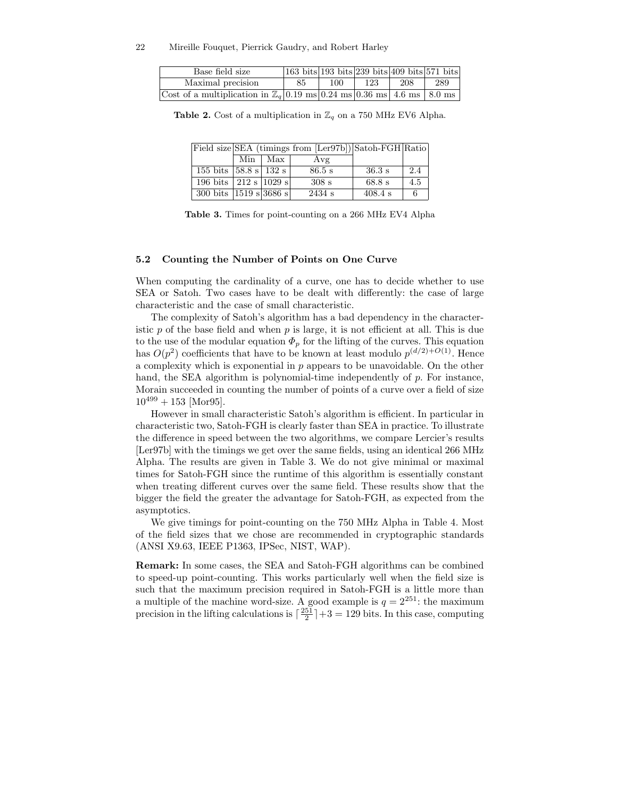| Base field size                                                                  | $ 163 \text{ bits} 193 \text{ bits} 239 \text{ bits} 409 \text{ bits} 571 \text{ bits}$ |     |     |     |     |
|----------------------------------------------------------------------------------|-----------------------------------------------------------------------------------------|-----|-----|-----|-----|
| Maximal precision                                                                | 85                                                                                      | 100 | 123 | 208 | 289 |
| Cost of a multiplication in $\mathbb{Z}_q$ 0.19 ms 0.24 ms 0.36 ms 4.6 ms 8.0 ms |                                                                                         |     |     |     |     |

Table 2. Cost of a multiplication in  $\mathbb{Z}_q$  on a 750 MHz EV6 Alpha.

|                                            |           | Field size SEA (timings from [Ler97b]) Satoh-FGH Ratio |                  |     |
|--------------------------------------------|-----------|--------------------------------------------------------|------------------|-----|
|                                            | Min   Max | Avg                                                    |                  |     |
| 155 bits $ 58.8 s $ 132 s                  |           | $86.5$ s                                               | $36.3 \text{ s}$ | 2.4 |
| 196 bits   212 s   1029 s                  |           | 308s                                                   | 68.8 s           | 4.5 |
| 300 bits $ 1519 \text{ s} 3686 \text{ s} $ |           | 2434 s                                                 | $408.4$ s        |     |

Table 3. Times for point-counting on a 266 MHz EV4 Alpha

#### 5.2 Counting the Number of Points on One Curve

When computing the cardinality of a curve, one has to decide whether to use SEA or Satoh. Two cases have to be dealt with differently: the case of large characteristic and the case of small characteristic.

The complexity of Satoh's algorithm has a bad dependency in the characteristic  $p$  of the base field and when  $p$  is large, it is not efficient at all. This is due to the use of the modular equation  $\Phi_p$  for the lifting of the curves. This equation has  $O(p^2)$  coefficients that have to be known at least modulo  $p^{(d/2)+O(1)}$ . Hence a complexity which is exponential in  $p$  appears to be unavoidable. On the other hand, the SEA algorithm is polynomial-time independently of p. For instance, Morain succeeded in counting the number of points of a curve over a field of size  $10^{499} + 153$  [Mor95].

However in small characteristic Satoh's algorithm is efficient. In particular in characteristic two, Satoh-FGH is clearly faster than SEA in practice. To illustrate the difference in speed between the two algorithms, we compare Lercier's results [Ler97b] with the timings we get over the same fields, using an identical 266 MHz Alpha. The results are given in Table 3. We do not give minimal or maximal times for Satoh-FGH since the runtime of this algorithm is essentially constant when treating different curves over the same field. These results show that the bigger the field the greater the advantage for Satoh-FGH, as expected from the asymptotics.

We give timings for point-counting on the 750 MHz Alpha in Table 4. Most of the field sizes that we chose are recommended in cryptographic standards (ANSI X9.63, IEEE P1363, IPSec, NIST, WAP).

Remark: In some cases, the SEA and Satoh-FGH algorithms can be combined to speed-up point-counting. This works particularly well when the field size is such that the maximum precision required in Satoh-FGH is a little more than a multiple of the machine word-size. A good example is  $q = 2^{251}$ : the maximum precision in the lifting calculations is  $\lceil \frac{251}{2} \rceil + 3 = 129$  bits. In this case, computing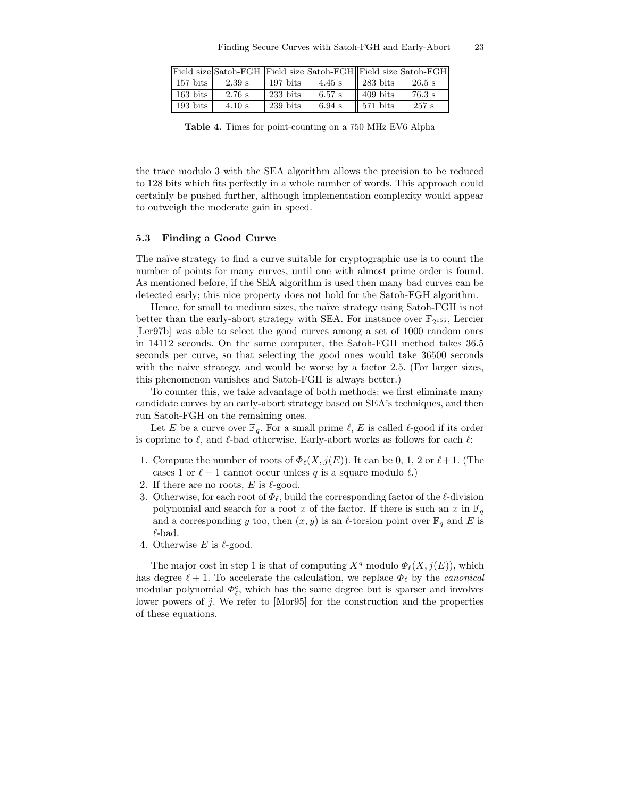|                          | Field size Satoh-FGH Field size Satoh-FGH Field size Satoh-FGH |                        |          |                      |                  |
|--------------------------|----------------------------------------------------------------|------------------------|----------|----------------------|------------------|
| $\vert$ 157 bits $\vert$ | 2.39 s                                                         | $\sqrt{197}$ bits      | $4.45$ s | $\parallel$ 283 bits | $26.5$ s         |
| $\sqrt{163}$ bits        | $2.76$ s                                                       | $233 \text{ bits}$     | $6.57$ s | $\parallel$ 409 bits | $76.3 \text{ s}$ |
| $193 \text{ bits}$       | $4.10$ s                                                       | $239 \; \mathrm{bits}$ | $6.94$ s | $\sqrt{571}$ bits    | 257 s            |

Table 4. Times for point-counting on a 750 MHz EV6 Alpha

the trace modulo 3 with the SEA algorithm allows the precision to be reduced to 128 bits which fits perfectly in a whole number of words. This approach could certainly be pushed further, although implementation complexity would appear to outweigh the moderate gain in speed.

#### 5.3 Finding a Good Curve

The naïve strategy to find a curve suitable for cryptographic use is to count the number of points for many curves, until one with almost prime order is found. As mentioned before, if the SEA algorithm is used then many bad curves can be detected early; this nice property does not hold for the Satoh-FGH algorithm.

Hence, for small to medium sizes, the naïve strategy using Satoh-FGH is not better than the early-abort strategy with SEA. For instance over  $\mathbb{F}_{2^{155}}$ , Lercier [Ler97b] was able to select the good curves among a set of 1000 random ones in 14112 seconds. On the same computer, the Satoh-FGH method takes 36.5 seconds per curve, so that selecting the good ones would take 36500 seconds with the naive strategy, and would be worse by a factor 2.5. (For larger sizes, this phenomenon vanishes and Satoh-FGH is always better.)

To counter this, we take advantage of both methods: we first eliminate many candidate curves by an early-abort strategy based on SEA's techniques, and then run Satoh-FGH on the remaining ones.

Let E be a curve over  $\mathbb{F}_q$ . For a small prime  $\ell$ , E is called  $\ell$ -good if its order is coprime to  $\ell$ , and  $\ell$ -bad otherwise. Early-abort works as follows for each  $\ell$ :

- 1. Compute the number of roots of  $\Phi_{\ell}(X, j(E))$ . It can be 0, 1, 2 or  $\ell+1$ . (The cases 1 or  $\ell + 1$  cannot occur unless q is a square modulo  $\ell$ .)
- 2. If there are no roots,  $E$  is  $\ell$ -good.
- 3. Otherwise, for each root of  $\Phi_{\ell}$ , build the corresponding factor of the  $\ell$ -division polynomial and search for a root x of the factor. If there is such an x in  $\mathbb{F}_q$ and a corresponding y too, then  $(x, y)$  is an  $\ell$ -torsion point over  $\mathbb{F}_q$  and E is  $\ell$ -bad.
- 4. Otherwise E is  $\ell$ -good.

The major cost in step 1 is that of computing  $X^q$  modulo  $\Phi_{\ell}(X, j(E))$ , which has degree  $\ell + 1$ . To accelerate the calculation, we replace  $\Phi_{\ell}$  by the *canonical* modular polynomial  $\Phi_\ell^c$ , which has the same degree but is sparser and involves lower powers of j. We refer to [Mor95] for the construction and the properties of these equations.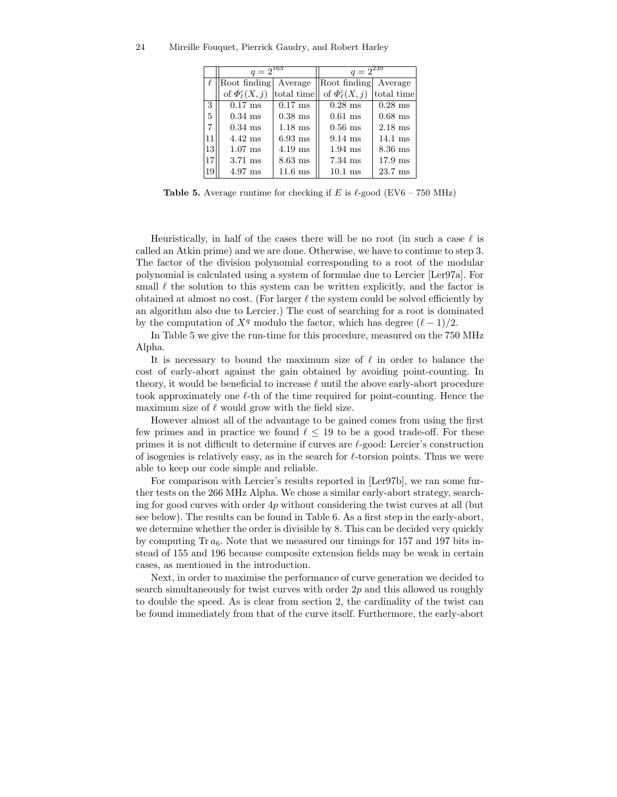|    | $q = 2^{163}$              |                   | $q = 2^{239}$              |                   |
|----|----------------------------|-------------------|----------------------------|-------------------|
|    | Root finding               | Average           | Root finding               | Average           |
|    | of $\Phi_{\ell}^{c}(X, j)$ | total time        | of $\Phi_{\ell}^{c}(X, j)$ | total time        |
| 3  | $0.17$ ms                  | $0.17$ ms         | $0.28$ ms                  | $0.28$ ms         |
| 5  | $0.34$ ms                  | $0.38$ ms         | $0.61$ ms                  | $0.68$ ms         |
| 7  | $0.34$ ms                  | $1.18$ ms         | $0.56$ ms                  | $2.18$ ms         |
| 11 | $4.42$ ms                  | $6.93$ ms         | $9.14$ ms                  | $14.1 \text{ ms}$ |
| 13 | $1.07$ ms                  | $4.19$ ms         | $1.94$ ms                  | $8.36$ ms         |
| 17 | $3.71$ ms                  | $8.63$ ms         | $7.34$ ms                  | $17.9$ ms         |
| 19 | $4.97$ ms                  | $11.6 \text{ ms}$ | $10.1$ ms                  | $23.7 \text{ ms}$ |

**Table 5.** Average runtime for checking if E is  $\ell$ -good (EV6 – 750 MHz)

Heuristically, in half of the cases there will be no root (in such a case  $\ell$  is called an Atkin prime) and we are done. Otherwise, we have to continue to step 3. The factor of the division polynomial corresponding to a root of the modular polynomial is calculated using a system of formulae due to Lercier [Ler97a]. For small  $\ell$  the solution to this system can be written explicitly, and the factor is obtained at almost no cost. (For larger  $\ell$  the system could be solved efficiently by an algorithm also due to Lercier.) The cost of searching for a root is dominated by the computation of  $X^q$  modulo the factor, which has degree  $(\ell - 1)/2$ .

In Table 5 we give the run-time for this procedure, measured on the 750 MHz Alpha.

It is necessary to bound the maximum size of  $\ell$  in order to balance the cost of early-abort against the gain obtained by avoiding point-counting. In theory, it would be beneficial to increase  $\ell$  until the above early-abort procedure took approximately one  $\ell$ -th of the time required for point-counting. Hence the maximum size of  $\ell$  would grow with the field size.

However almost all of the advantage to be gained comes from using the first few primes and in practice we found  $\ell \leq 19$  to be a good trade-off. For these primes it is not difficult to determine if curves are  $\ell$ -good: Lercier's construction of isogenies is relatively easy, as in the search for  $\ell$ -torsion points. Thus we were able to keep our code simple and reliable.

For comparison with Lercier's results reported in [Ler97b], we ran some further tests on the 266 MHz Alpha. We chose a similar early-abort strategy, searching for good curves with order  $4p$  without considering the twist curves at all (but see below). The results can be found in Table 6. As a first step in the early-abort, we determine whether the order is divisible by 8. This can be decided very quickly by computing Tr  $a_6$ . Note that we measured our timings for 157 and 197 bits instead of 155 and 196 because composite extension fields may be weak in certain cases, as mentioned in the introduction.

Next, in order to maximise the performance of curve generation we decided to search simultaneously for twist curves with order  $2p$  and this allowed us roughly to double the speed. As is clear from section 2, the cardinality of the twist can be found immediately from that of the curve itself. Furthermore, the early-abort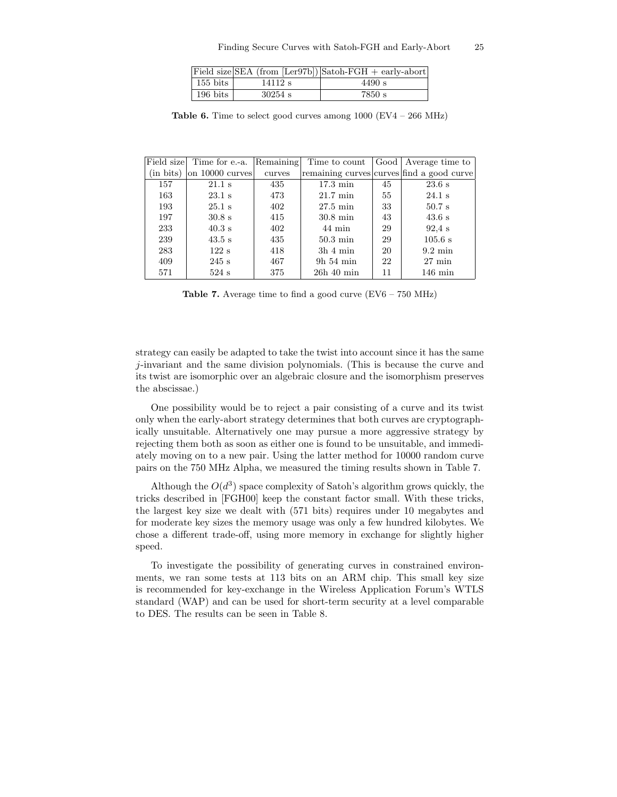|                        |           | Field size SEA (from $[{\rm Ler97b}])$ Satoh-FGH + early-abort |
|------------------------|-----------|----------------------------------------------------------------|
| $155 \; \mathrm{bits}$ | 14112 s   | 4490 s                                                         |
| $196 \text{ bits}$     | $30254$ s | 7850 s                                                         |

**Table 6.** Time to select good curves among  $1000$  (EV4 –  $266$  MHz)

|                | Field size Time for e.-a. | Remaining | Time to count      |    | Good Average time to                      |
|----------------|---------------------------|-----------|--------------------|----|-------------------------------------------|
| $(in \; bits)$ | on 10000 curves           | curves    |                    |    | remaining curves curves find a good curve |
| 157            | $21.1$ s                  | 435       | $17.3 \text{ min}$ | 45 | 23.6 s                                    |
| 163            | $23.1$ s                  | 473       | $21.7 \text{ min}$ | 55 | $24.1$ s                                  |
| 193            | $25.1$ s                  | 402       | $27.5 \text{ min}$ | 33 | $50.7$ s                                  |
| 197            | $30.8 \text{ s}$          | 415       | $30.8 \text{ min}$ | 43 | 43.6 s                                    |
| 233            | $40.3$ s                  | 402       | $44 \text{ min}$   | 29 | $92.4$ s                                  |
| 239            | $43.5$ s                  | 435       | $50.3 \text{ min}$ | 29 | $105.6$ s                                 |
| 283            | 122 s                     | 418       | $3h$ 4 min         | 20 | $9.2 \text{ min}$                         |
| 409            | $245$ s                   | 467       | $9h\,54\,\min$     | 22 | $27 \text{ min}$                          |
| 571            | $524$ s                   | 375       | $26h$ 40 min       | 11 | $146 \text{ min}$                         |

**Table 7.** Average time to find a good curve  $(EV6 - 750 \text{ MHz})$ 

strategy can easily be adapted to take the twist into account since it has the same j-invariant and the same division polynomials. (This is because the curve and its twist are isomorphic over an algebraic closure and the isomorphism preserves the abscissae.)

One possibility would be to reject a pair consisting of a curve and its twist only when the early-abort strategy determines that both curves are cryptographically unsuitable. Alternatively one may pursue a more aggressive strategy by rejecting them both as soon as either one is found to be unsuitable, and immediately moving on to a new pair. Using the latter method for 10000 random curve pairs on the 750 MHz Alpha, we measured the timing results shown in Table 7.

Although the  $O(d^3)$  space complexity of Satoh's algorithm grows quickly, the tricks described in [FGH00] keep the constant factor small. With these tricks, the largest key size we dealt with (571 bits) requires under 10 megabytes and for moderate key sizes the memory usage was only a few hundred kilobytes. We chose a different trade-off, using more memory in exchange for slightly higher speed.

To investigate the possibility of generating curves in constrained environments, we ran some tests at 113 bits on an ARM chip. This small key size is recommended for key-exchange in the Wireless Application Forum's WTLS standard (WAP) and can be used for short-term security at a level comparable to DES. The results can be seen in Table 8.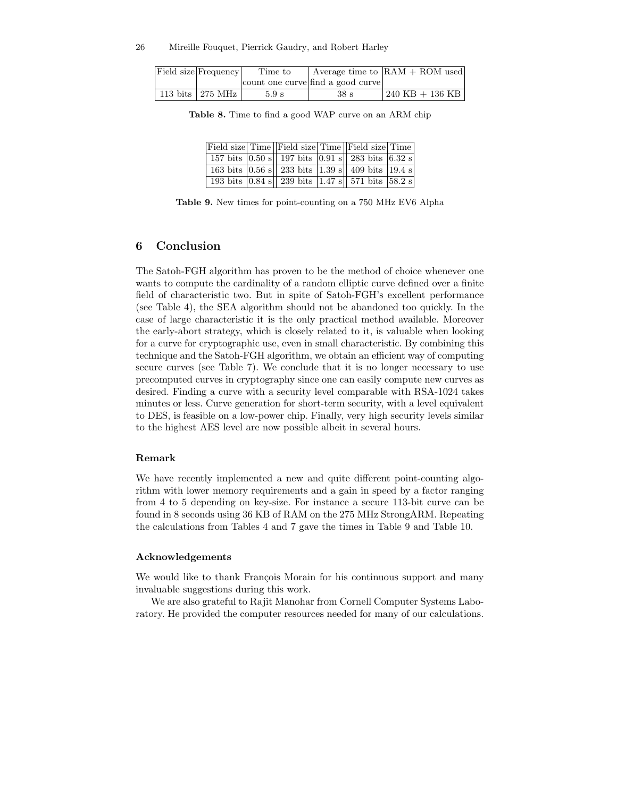|  | Field size Frequency | Time to |                                   | Average time to $ RAM + ROM$ used |
|--|----------------------|---------|-----------------------------------|-----------------------------------|
|  |                      |         | count one curve find a good curve |                                   |
|  | 113 bits   275 MHz   | 5.9 s   | 38 <sub>s</sub>                   | $1240$ KB $+$ 136 KB              |

Table 8. Time to find a good WAP curve on an ARM chip

|  | Field size Time   Field size Time   Field size Time                                                   |  |  |
|--|-------------------------------------------------------------------------------------------------------|--|--|
|  | 157 bits $\boxed{0.50 \text{ s}}$ 197 bits $\boxed{0.91 \text{ s}}$ 283 bits $\boxed{6.32 \text{ s}}$ |  |  |
|  | 163 bits $ 0.56 \text{ s} $ 233 bits $ 1.39 \text{ s} $ 409 bits $ 19.4 \text{ s} $                   |  |  |
|  | 193 bits $ 0.84 \text{ s} $ 239 bits 1.47 s 571 bits 58.2 s                                           |  |  |

Table 9. New times for point-counting on a 750 MHz EV6 Alpha

# 6 Conclusion

The Satoh-FGH algorithm has proven to be the method of choice whenever one wants to compute the cardinality of a random elliptic curve defined over a finite field of characteristic two. But in spite of Satoh-FGH's excellent performance (see Table 4), the SEA algorithm should not be abandoned too quickly. In the case of large characteristic it is the only practical method available. Moreover the early-abort strategy, which is closely related to it, is valuable when looking for a curve for cryptographic use, even in small characteristic. By combining this technique and the Satoh-FGH algorithm, we obtain an efficient way of computing secure curves (see Table 7). We conclude that it is no longer necessary to use precomputed curves in cryptography since one can easily compute new curves as desired. Finding a curve with a security level comparable with RSA-1024 takes minutes or less. Curve generation for short-term security, with a level equivalent to DES, is feasible on a low-power chip. Finally, very high security levels similar to the highest AES level are now possible albeit in several hours.

### Remark

We have recently implemented a new and quite different point-counting algorithm with lower memory requirements and a gain in speed by a factor ranging from 4 to 5 depending on key-size. For instance a secure 113-bit curve can be found in 8 seconds using 36 KB of RAM on the 275 MHz StrongARM. Repeating the calculations from Tables 4 and 7 gave the times in Table 9 and Table 10.

#### Acknowledgements

We would like to thank François Morain for his continuous support and many invaluable suggestions during this work.

We are also grateful to Rajit Manohar from Cornell Computer Systems Laboratory. He provided the computer resources needed for many of our calculations.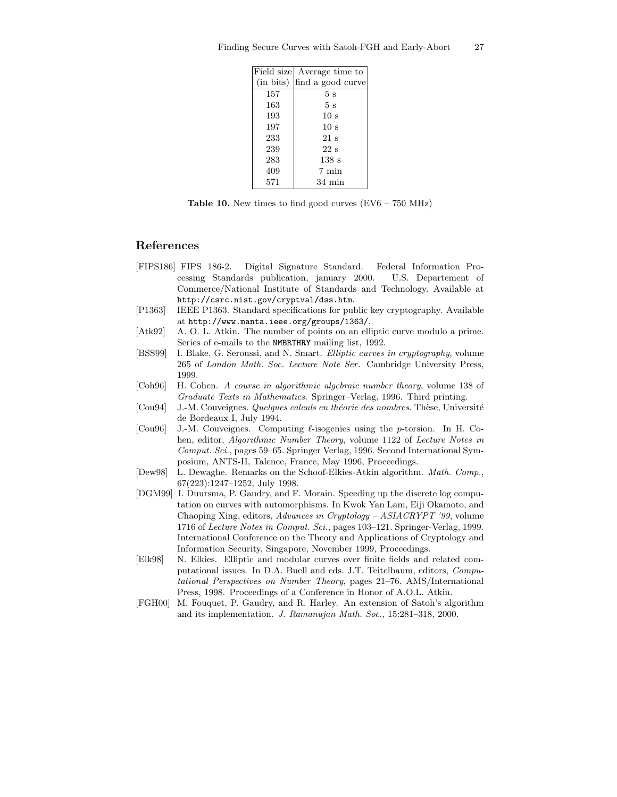|     | Field size Average time to  |
|-----|-----------------------------|
|     | (in bits) find a good curve |
| 157 | 5s                          |
| 163 | 5 <sub>s</sub>              |
| 193 | 10 <sub>s</sub>             |
| 197 | 10 <sub>s</sub>             |
| 233 | $21 \mathrm{s}$             |
| 239 | $22\mathrm{~s}$             |
| 283 | 138s                        |
| 409 | 7 min                       |
| 571 | $34 \text{ min}$            |

**Table 10.** New times to find good curves  $(EV6 - 750 \text{ MHz})$ 

# References

- [FIPS186] FIPS 186-2. Digital Signature Standard. Federal Information Processing Standards publication, january 2000. U.S. Departement of Commerce/National Institute of Standards and Technology. Available at http://csrc.nist.gov/cryptval/dss.htm.
- [P1363] IEEE P1363. Standard specifications for public key cryptography. Available at http://www.manta.ieee.org/groups/1363/.
- [Atk92] A. O. L. Atkin. The number of points on an elliptic curve modulo a prime. Series of e-mails to the NMBRTHRY mailing list, 1992.
- [BSS99] I. Blake, G. Seroussi, and N. Smart. Elliptic curves in cryptography, volume 265 of London Math. Soc. Lecture Note Ser. Cambridge University Press, 1999.
- [Coh96] H. Cohen. A course in algorithmic algebraic number theory, volume 138 of Graduate Texts in Mathematics. Springer–Verlag, 1996. Third printing.
- [Cou94] J.-M. Couveignes. Quelques calculs en théorie des nombres. Thèse, Université de Bordeaux I, July 1994.
- [Cou96] J.-M. Couveignes. Computing  $\ell$ -isogenies using the p-torsion. In H. Cohen, editor, Algorithmic Number Theory, volume 1122 of Lecture Notes in Comput. Sci., pages 59–65. Springer Verlag, 1996. Second International Symposium, ANTS-II, Talence, France, May 1996, Proceedings.
- [Dew98] L. Dewaghe. Remarks on the Schoof-Elkies-Atkin algorithm. Math. Comp., 67(223):1247–1252, July 1998.
- [DGM99] I. Duursma, P. Gaudry, and F. Morain. Speeding up the discrete log computation on curves with automorphisms. In Kwok Yan Lam, Eiji Okamoto, and Chaoping Xing, editors, Advances in Cryptology – ASIACRYPT '99, volume 1716 of Lecture Notes in Comput. Sci., pages 103–121. Springer-Verlag, 1999. International Conference on the Theory and Applications of Cryptology and Information Security, Singapore, November 1999, Proceedings.
- [Elk98] N. Elkies. Elliptic and modular curves over finite fields and related computational issues. In D.A. Buell and eds. J.T. Teitelbaum, editors, Computational Perspectives on Number Theory, pages 21–76. AMS/International Press, 1998. Proceedings of a Conference in Honor of A.O.L. Atkin.
- [FGH00] M. Fouquet, P. Gaudry, and R. Harley. An extension of Satoh's algorithm and its implementation. J. Ramanujan Math. Soc., 15:281–318, 2000.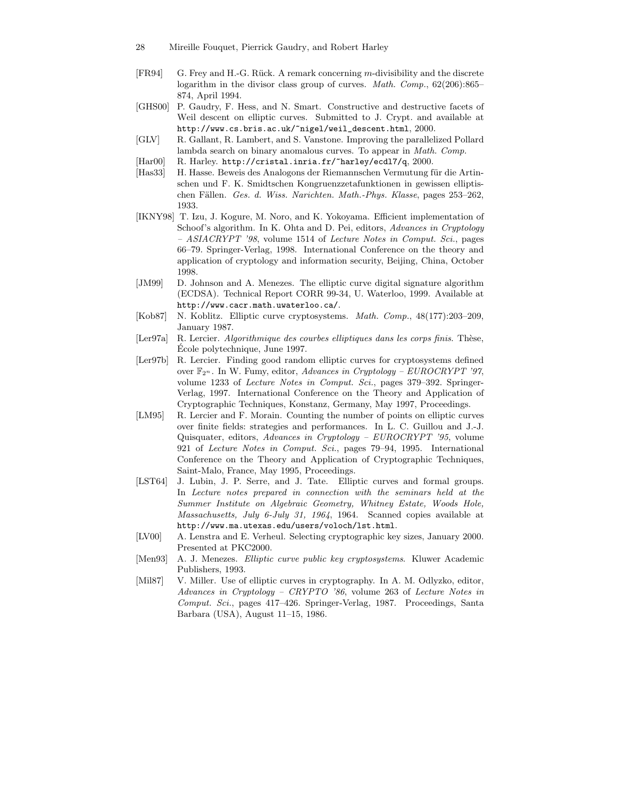- 28 Mireille Fouquet, Pierrick Gaudry, and Robert Harley
- [FR94] G. Frey and H.-G. Rück. A remark concerning m-divisibility and the discrete logarithm in the divisor class group of curves. *Math. Comp.*,  $62(206):865-$ 874, April 1994.
- [GHS00] P. Gaudry, F. Hess, and N. Smart. Constructive and destructive facets of Weil descent on elliptic curves. Submitted to J. Crypt. and available at http://www.cs.bris.ac.uk/~nigel/weil\_descent.html, 2000.
- [GLV] R. Gallant, R. Lambert, and S. Vanstone. Improving the parallelized Pollard lambda search on binary anomalous curves. To appear in Math. Comp.
- [Har00] R. Harley. http://cristal.inria.fr/~harley/ecdl7/q, 2000.
- [Has33] H. Hasse. Beweis des Analogons der Riemannschen Vermutung für die Artinschen und F. K. Smidtschen Kongruenzzetafunktionen in gewissen elliptischen Fällen. Ges. d. Wiss. Narichten. Math.-Phys. Klasse, pages 253–262, 1933.
- [IKNY98] T. Izu, J. Kogure, M. Noro, and K. Yokoyama. Efficient implementation of Schoof's algorithm. In K. Ohta and D. Pei, editors, Advances in Cryptology – ASIACRYPT '98, volume 1514 of Lecture Notes in Comput. Sci., pages 66–79. Springer-Verlag, 1998. International Conference on the theory and application of cryptology and information security, Beijing, China, October 1998.
- [JM99] D. Johnson and A. Menezes. The elliptic curve digital signature algorithm (ECDSA). Technical Report CORR 99-34, U. Waterloo, 1999. Available at http://www.cacr.math.uwaterloo.ca/.
- [Kob87] N. Koblitz. Elliptic curve cryptosystems. Math. Comp., 48(177):203–209, January 1987.
- [Ler97a] R. Lercier. Algorithmique des courbes elliptiques dans les corps finis. Thèse, Ecole polytechnique, June 1997.
- [Ler97b] R. Lercier. Finding good random elliptic curves for cryptosystems defined over  $\mathbb{F}_{2^n}$ . In W. Fumy, editor, Advances in Cryptology – EUROCRYPT '97, volume 1233 of Lecture Notes in Comput. Sci., pages 379–392. Springer-Verlag, 1997. International Conference on the Theory and Application of Cryptographic Techniques, Konstanz, Germany, May 1997, Proceedings.
- [LM95] R. Lercier and F. Morain. Counting the number of points on elliptic curves over finite fields: strategies and performances. In L. C. Guillou and J.-J. Quisquater, editors, Advances in Cryptology – EUROCRYPT '95, volume 921 of Lecture Notes in Comput. Sci., pages 79–94, 1995. International Conference on the Theory and Application of Cryptographic Techniques, Saint-Malo, France, May 1995, Proceedings.
- [LST64] J. Lubin, J. P. Serre, and J. Tate. Elliptic curves and formal groups. In Lecture notes prepared in connection with the seminars held at the Summer Institute on Algebraic Geometry, Whitney Estate, Woods Hole, Massachusetts, July 6-July 31, 1964, 1964. Scanned copies available at http://www.ma.utexas.edu/users/voloch/lst.html.
- [LV00] A. Lenstra and E. Verheul. Selecting cryptographic key sizes, January 2000. Presented at PKC2000.
- [Men93] A. J. Menezes. Elliptic curve public key cryptosystems. Kluwer Academic Publishers, 1993.
- [Mil87] V. Miller. Use of elliptic curves in cryptography. In A. M. Odlyzko, editor, Advances in Cryptology – CRYPTO '86, volume 263 of Lecture Notes in Comput. Sci., pages 417–426. Springer-Verlag, 1987. Proceedings, Santa Barbara (USA), August 11–15, 1986.